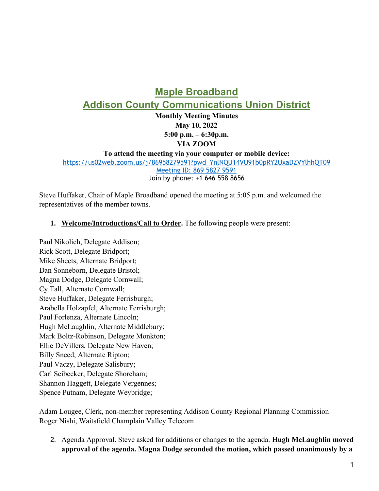## **Maple Broadband Addison County Communications Union District**

**Monthly Meeting Minutes May 10, 2022 5:00 p.m. – 6:30p.m. VIA ZOOM** 

**To attend the meeting via your computer or mobile device:** https://us02web.zoom.us/j/86958279591?pwd=YnlNQU14VU91b0pRY2UxaDZVYlhhQT09 Meeting ID: 869 5827 9591 Join by phone: +1 646 558 8656

Steve Huffaker, Chair of Maple Broadband opened the meeting at 5:05 p.m. and welcomed the representatives of the member towns.

**1. Welcome/Introductions/Call to Order.** The following people were present:

Paul Nikolich, Delegate Addison; Rick Scott, Delegate Bridport; Mike Sheets, Alternate Bridport; Dan Sonneborn, Delegate Bristol; Magna Dodge, Delegate Cornwall; Cy Tall, Alternate Cornwall; Steve Huffaker, Delegate Ferrisburgh; Arabella Holzapfel, Alternate Ferrisburgh; Paul Forlenza, Alternate Lincoln; Hugh McLaughlin, Alternate Middlebury; Mark Boltz-Robinson, Delegate Monkton; Ellie DeVillers, Delegate New Haven; Billy Sneed, Alternate Ripton; Paul Vaczy, Delegate Salisbury; Carl Seibecker, Delegate Shoreham; Shannon Haggett, Delegate Vergennes; Spence Putnam, Delegate Weybridge;

Adam Lougee, Clerk, non-member representing Addison County Regional Planning Commission Roger Nishi, Waitsfield Champlain Valley Telecom

2. Agenda Approval. Steve asked for additions or changes to the agenda. **Hugh McLaughlin moved approval of the agenda. Magna Dodge seconded the motion, which passed unanimously by a**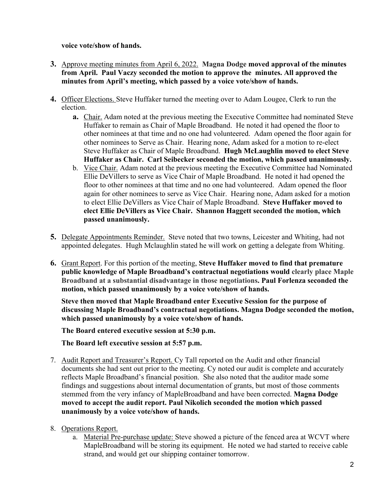## **voice vote/show of hands.**

- **3.** Approve meeting minutes from April 6, 2022. **Magna Dodge moved approval of the minutes from April. Paul Vaczy seconded the motion to approve the minutes. All approved the minutes from April's meeting, which passed by a voice vote/show of hands.**
- **4.** Officer Elections. Steve Huffaker turned the meeting over to Adam Lougee, Clerk to run the election.
	- **a.** Chair. Adam noted at the previous meeting the Executive Committee had nominated Steve Huffaker to remain as Chair of Maple Broadband. He noted it had opened the floor to other nominees at that time and no one had volunteered. Adam opened the floor again for other nominees to Serve as Chair. Hearing none, Adam asked for a motion to re-elect Steve Huffaker as Chair of Maple Broadband. **Hugh McLaughlin moved to elect Steve Huffaker as Chair. Carl Seibecker seconded the motion, which passed unanimously.**
	- b. Vice Chair. Adam noted at the previous meeting the Executive Committee had Nominated Ellie DeVillers to serve as Vice Chair of Maple Broadband. He noted it had opened the floor to other nominees at that time and no one had volunteered. Adam opened the floor again for other nominees to serve as Vice Chair. Hearing none, Adam asked for a motion to elect Ellie DeVillers as Vice Chair of Maple Broadband. **Steve Huffaker moved to elect Ellie DeVillers as Vice Chair. Shannon Haggett seconded the motion, which passed unanimously.**
- **5.** Delegate Appointments Reminder. Steve noted that two towns, Leicester and Whiting, had not appointed delegates. Hugh Mclaughlin stated he will work on getting a delegate from Whiting.
- **6.** Grant Report. For this portion of the meeting, **Steve Huffaker moved to find that premature public knowledge of Maple Broadband's contractual negotiations would clearly place Maple Broadband at a substantial disadvantage in those negotiations. Paul Forlenza seconded the motion, which passed unanimously by a voice vote/show of hands.**

**Steve then moved that Maple Broadband enter Executive Session for the purpose of discussing Maple Broadband's contractual negotiations. Magna Dodge seconded the motion, which passed unanimously by a voice vote/show of hands.** 

**The Board entered executive session at 5:30 p.m.**

**The Board left executive session at 5:57 p.m.**

- 7. Audit Report and Treasurer's Report. Cy Tall reported on the Audit and other financial documents she had sent out prior to the meeting. Cy noted our audit is complete and accurately reflects Maple Broadband's financial position. She also noted that the auditor made some findings and suggestions about internal documentation of grants, but most of those comments stemmed from the very infancy of MapleBroadband and have been corrected. **Magna Dodge moved to accept the audit report. Paul Nikolich seconded the motion which passed unanimously by a voice vote/show of hands.**
- 8. Operations Report.
	- a. Material Pre-purchase update: Steve showed a picture of the fenced area at WCVT where MapleBroadband will be storing its equipment. He noted we had started to receive cable strand, and would get our shipping container tomorrow.